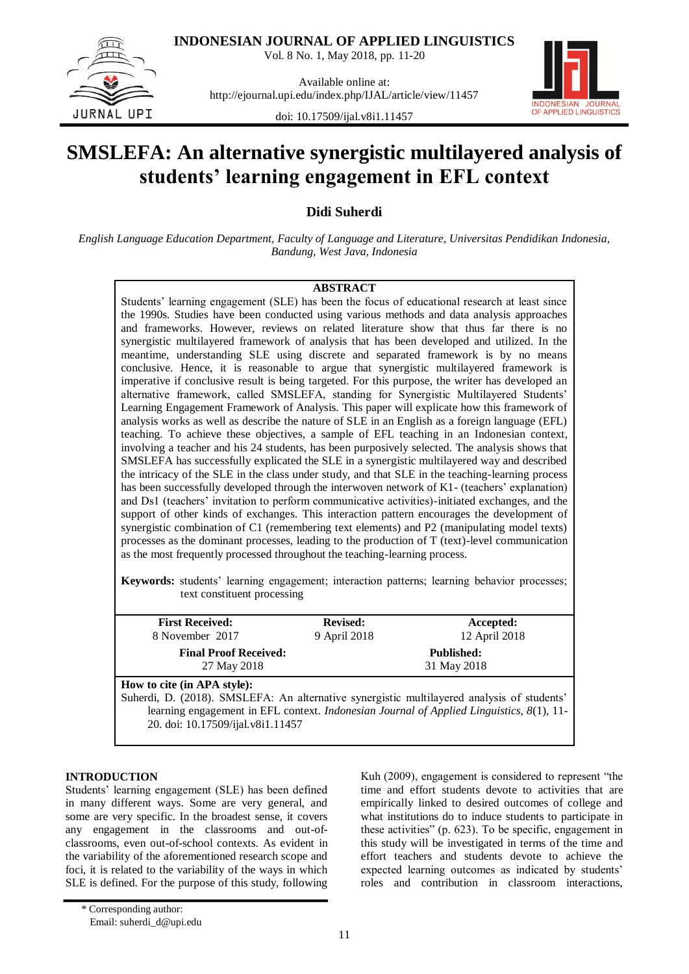

**INDONESIAN JOURNAL OF APPLIED LINGUISTICS**

Vol. 8 No. 1, May 2018, pp. 11-20

Available online at: http://ejournal.upi.edu/index.php/IJAL/article/view/11457



doi: 10.17509/ijal.v8i1.11457

# **SMSLEFA: An alternative synergistic multilayered analysis of students' learning engagement in EFL context**

**Didi Suherdi**

*English Language Education Department, Faculty of Language and Literature, Universitas Pendidikan Indonesia, Bandung, West Java, Indonesia*

# **ABSTRACT**

Students' learning engagement (SLE) has been the focus of educational research at least since the 1990s. Studies have been conducted using various methods and data analysis approaches and frameworks. However, reviews on related literature show that thus far there is no synergistic multilayered framework of analysis that has been developed and utilized. In the meantime, understanding SLE using discrete and separated framework is by no means conclusive. Hence, it is reasonable to argue that synergistic multilayered framework is imperative if conclusive result is being targeted. For this purpose, the writer has developed an alternative framework, called SMSLEFA, standing for Synergistic Multilayered Students' Learning Engagement Framework of Analysis. This paper will explicate how this framework of analysis works as well as describe the nature of SLE in an English as a foreign language (EFL) teaching. To achieve these objectives, a sample of EFL teaching in an Indonesian context, involving a teacher and his 24 students, has been purposively selected. The analysis shows that SMSLEFA has successfully explicated the SLE in a synergistic multilayered way and described the intricacy of the SLE in the class under study, and that SLE in the teaching-learning process has been successfully developed through the interwoven network of K1- (teachers' explanation) and Ds1 (teachers' invitation to perform communicative activities)-initiated exchanges, and the support of other kinds of exchanges. This interaction pattern encourages the development of synergistic combination of C1 (remembering text elements) and P2 (manipulating model texts) processes as the dominant processes, leading to the production of T (text)-level communication as the most frequently processed throughout the teaching-learning process.

**Keywords:** students' learning engagement; interaction patterns; learning behavior processes; text constituent processing

| <b>First Received:</b>                                                                                                                                         | <b>Revised:</b> | Accepted:                                                                                |
|----------------------------------------------------------------------------------------------------------------------------------------------------------------|-----------------|------------------------------------------------------------------------------------------|
| 8 November 2017                                                                                                                                                | 9 April 2018    | 12 April 2018                                                                            |
| <b>Final Proof Received:</b><br>27 May 2018                                                                                                                    |                 | <b>Published:</b><br>31 May 2018                                                         |
| How to cite (in APA style):<br>Suherdi, D. (2018). SMSLEFA: An alternative synergistic multilayered analysis of students'<br>20. doi: 10.17509/ijal.v8i1.11457 |                 | learning engagement in EFL context. Indonesian Journal of Applied Linguistics, 8(1), 11- |

## **INTRODUCTION**

Students' learning engagement (SLE) has been defined in many different ways. Some are very general, and some are very specific. In the broadest sense, it covers any engagement in the classrooms and out-ofclassrooms, even out-of-school contexts. As evident in the variability of the aforementioned research scope and foci, it is related to the variability of the ways in which SLE is defined. For the purpose of this study, following

Kuh (2009), engagement is considered to represent "the time and effort students devote to activities that are empirically linked to desired outcomes of college and what institutions do to induce students to participate in these activities"  $(p. 623)$ . To be specific, engagement in this study will be investigated in terms of the time and effort teachers and students devote to achieve the expected learning outcomes as indicated by students' roles and contribution in classroom interactions,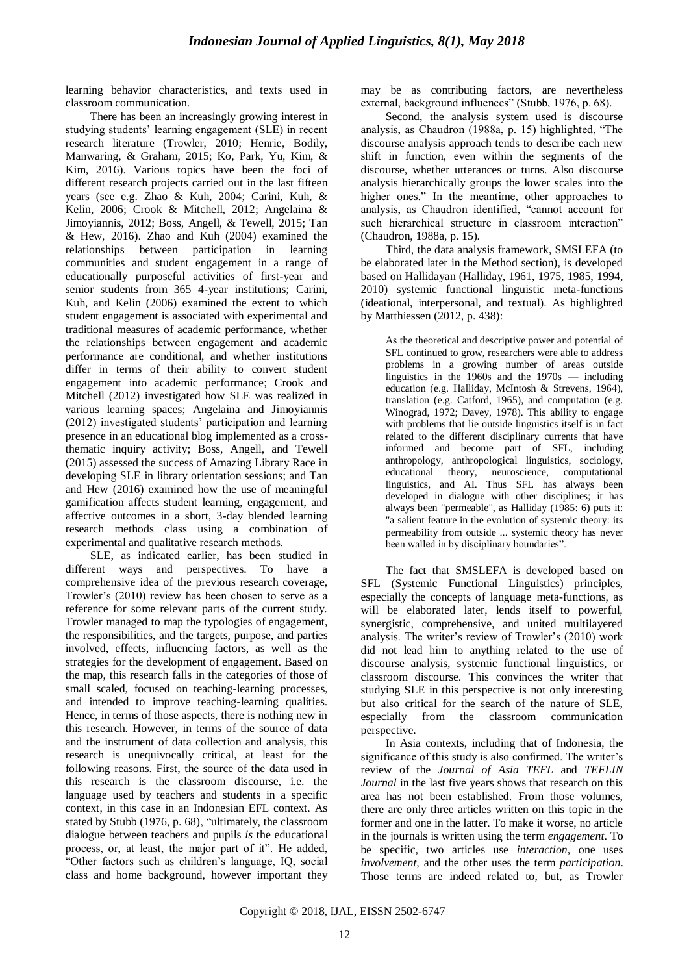learning behavior characteristics, and texts used in classroom communication.

There has been an increasingly growing interest in studying students' learning engagement (SLE) in recent research literature (Trowler, 2010; Henrie, Bodily, Manwaring, & Graham, 2015; Ko, Park, Yu, Kim, & Kim, 2016). Various topics have been the foci of different research projects carried out in the last fifteen years (see e.g. Zhao & Kuh, 2004; Carini, Kuh, & Kelin, 2006; Crook & Mitchell, 2012; Angelaina & Jimoyiannis, 2012; Boss, Angell, & Tewell, 2015; Tan & Hew, 2016). Zhao and Kuh (2004) examined the relationships between participation in learning communities and student engagement in a range of educationally purposeful activities of first-year and senior students from 365 4-year institutions; Carini, Kuh, and Kelin (2006) examined the extent to which student engagement is associated with experimental and traditional measures of academic performance, whether the relationships between engagement and academic performance are conditional, and whether institutions differ in terms of their ability to convert student engagement into academic performance; Crook and Mitchell (2012) investigated how SLE was realized in various learning spaces; Angelaina and Jimoyiannis (2012) investigated students' participation and learning presence in an educational blog implemented as a crossthematic inquiry activity; Boss, Angell, and Tewell (2015) assessed the success of Amazing Library Race in developing SLE in library orientation sessions; and Tan and Hew (2016) examined how the use of meaningful gamification affects student learning, engagement, and affective outcomes in a short, 3-day blended learning research methods class using a combination of experimental and qualitative research methods.

SLE, as indicated earlier, has been studied in different ways and perspectives. To have a comprehensive idea of the previous research coverage, Trowler's (2010) review has been chosen to serve as a reference for some relevant parts of the current study. Trowler managed to map the typologies of engagement, the responsibilities, and the targets, purpose, and parties involved, effects, influencing factors, as well as the strategies for the development of engagement. Based on the map, this research falls in the categories of those of small scaled, focused on teaching-learning processes, and intended to improve teaching-learning qualities. Hence, in terms of those aspects, there is nothing new in this research. However, in terms of the source of data and the instrument of data collection and analysis, this research is unequivocally critical, at least for the following reasons. First, the source of the data used in this research is the classroom discourse, i.e. the language used by teachers and students in a specific context, in this case in an Indonesian EFL context. As stated by Stubb (1976, p. 68), "ultimately, the classroom dialogue between teachers and pupils *is* the educational process, or, at least, the major part of it". He added, ―Other factors such as children's language, IQ, social class and home background, however important they may be as contributing factors, are nevertheless external, background influences" (Stubb, 1976, p. 68).

Second, the analysis system used is discourse analysis, as Chaudron (1988a, p. 15) highlighted, "The discourse analysis approach tends to describe each new shift in function, even within the segments of the discourse, whether utterances or turns. Also discourse analysis hierarchically groups the lower scales into the higher ones." In the meantime, other approaches to analysis, as Chaudron identified, "cannot account for such hierarchical structure in classroom interaction" (Chaudron, 1988a, p. 15).

Third, the data analysis framework, SMSLEFA (to be elaborated later in the Method section), is developed based on Hallidayan (Halliday, 1961, 1975, 1985, 1994, 2010) systemic functional linguistic meta-functions (ideational, interpersonal, and textual). As highlighted by Matthiessen (2012, p. 438):

As the theoretical and descriptive power and potential of SFL continued to grow, researchers were able to address problems in a growing number of areas outside linguistics in the 1960s and the  $1970s$  — including education (e.g. Halliday, McIntosh & Strevens, 1964), translation (e.g. Catford, 1965), and computation (e.g. Winograd, 1972; Davey, 1978). This ability to engage with problems that lie outside linguistics itself is in fact related to the different disciplinary currents that have informed and become part of SFL, including anthropology, anthropological linguistics, sociology, educational theory, neuroscience, computational linguistics, and AI. Thus SFL has always been developed in dialogue with other disciplines; it has always been "permeable", as Halliday (1985: 6) puts it: "a salient feature in the evolution of systemic theory: its permeability from outside ... systemic theory has never been walled in by disciplinary boundaries".

The fact that SMSLEFA is developed based on SFL (Systemic Functional Linguistics) principles, especially the concepts of language meta-functions, as will be elaborated later, lends itself to powerful, synergistic, comprehensive, and united multilayered analysis. The writer's review of Trowler's (2010) work did not lead him to anything related to the use of discourse analysis, systemic functional linguistics, or classroom discourse. This convinces the writer that studying SLE in this perspective is not only interesting but also critical for the search of the nature of SLE, especially from the classroom communication perspective.

In Asia contexts, including that of Indonesia, the significance of this study is also confirmed. The writer's review of the *Journal of Asia TEFL* and *TEFLIN Journal* in the last five years shows that research on this area has not been established. From those volumes, there are only three articles written on this topic in the former and one in the latter. To make it worse, no article in the journals is written using the term *engagement*. To be specific, two articles use *interaction*, one uses *involvement,* and the other uses the term *participation*. Those terms are indeed related to, but, as Trowler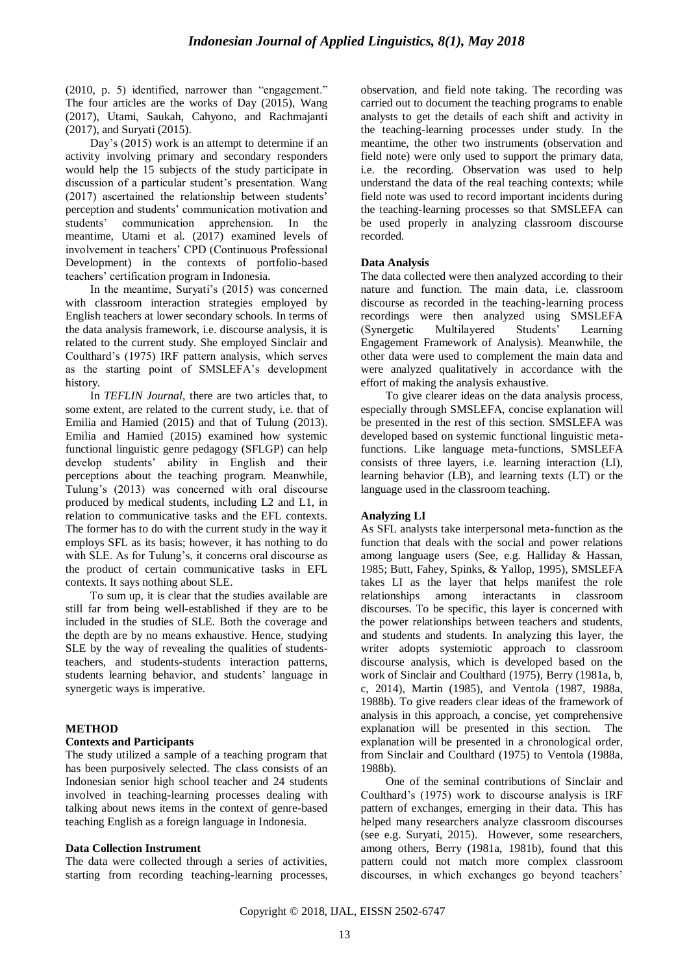$(2010, p. 5)$  identified, narrower than "engagement." The four articles are the works of Day (2015), Wang (2017), Utami, Saukah, Cahyono, and Rachmajanti (2017), and Suryati (2015).

Day's (2015) work is an attempt to determine if an activity involving primary and secondary responders would help the 15 subjects of the study participate in discussion of a particular student's presentation. Wang (2017) ascertained the relationship between students' perception and students' communication motivation and students' communication apprehension. In the meantime, Utami et al. (2017) examined levels of involvement in teachers' CPD (Continuous Professional Development) in the contexts of portfolio-based teachers' certification program in Indonesia.

In the meantime, Suryati's (2015) was concerned with classroom interaction strategies employed by English teachers at lower secondary schools. In terms of the data analysis framework, i.e. discourse analysis, it is related to the current study. She employed Sinclair and Coulthard's (1975) IRF pattern analysis, which serves as the starting point of SMSLEFA's development history.

In *TEFLIN Journal*, there are two articles that, to some extent, are related to the current study, i.e. that of Emilia and Hamied (2015) and that of Tulung (2013). Emilia and Hamied (2015) examined how systemic functional linguistic genre pedagogy (SFLGP) can help develop students' ability in English and their perceptions about the teaching program. Meanwhile, Tulung's (2013) was concerned with oral discourse produced by medical students, including L2 and L1, in relation to communicative tasks and the EFL contexts. The former has to do with the current study in the way it employs SFL as its basis; however, it has nothing to do with SLE. As for Tulung's, it concerns oral discourse as the product of certain communicative tasks in EFL contexts. It says nothing about SLE.

To sum up, it is clear that the studies available are still far from being well-established if they are to be included in the studies of SLE. Both the coverage and the depth are by no means exhaustive. Hence, studying SLE by the way of revealing the qualities of studentsteachers, and students-students interaction patterns, students learning behavior, and students' language in synergetic ways is imperative.

#### **METHOD**

#### **Contexts and Participants**

The study utilized a sample of a teaching program that has been purposively selected. The class consists of an Indonesian senior high school teacher and 24 students involved in teaching-learning processes dealing with talking about news items in the context of genre-based teaching English as a foreign language in Indonesia.

## **Data Collection Instrument**

The data were collected through a series of activities, starting from recording teaching-learning processes, observation, and field note taking. The recording was carried out to document the teaching programs to enable analysts to get the details of each shift and activity in the teaching-learning processes under study. In the meantime, the other two instruments (observation and field note) were only used to support the primary data, i.e. the recording. Observation was used to help understand the data of the real teaching contexts; while field note was used to record important incidents during the teaching-learning processes so that SMSLEFA can be used properly in analyzing classroom discourse recorded.

#### **Data Analysis**

The data collected were then analyzed according to their nature and function. The main data, i.e. classroom discourse as recorded in the teaching-learning process recordings were then analyzed using SMSLEFA (Synergetic Multilayered Students' Learning Engagement Framework of Analysis). Meanwhile, the other data were used to complement the main data and were analyzed qualitatively in accordance with the effort of making the analysis exhaustive.

To give clearer ideas on the data analysis process, especially through SMSLEFA, concise explanation will be presented in the rest of this section. SMSLEFA was developed based on systemic functional linguistic metafunctions. Like language meta-functions, SMSLEFA consists of three layers, i.e. learning interaction (LI), learning behavior (LB), and learning texts (LT) or the language used in the classroom teaching.

#### **Analyzing LI**

As SFL analysts take interpersonal meta-function as the function that deals with the social and power relations among language users (See, e.g. Halliday & Hassan, 1985; Butt, Fahey, Spinks, & Yallop, 1995), SMSLEFA takes LI as the layer that helps manifest the role relationships among interactants in classroom discourses. To be specific, this layer is concerned with the power relationships between teachers and students, and students and students. In analyzing this layer, the writer adopts systemiotic approach to classroom discourse analysis, which is developed based on the work of Sinclair and Coulthard (1975), Berry (1981a, b, c, 2014), Martin (1985), and Ventola (1987, 1988a, 1988b). To give readers clear ideas of the framework of analysis in this approach, a concise, yet comprehensive explanation will be presented in this section. The explanation will be presented in a chronological order, from Sinclair and Coulthard (1975) to Ventola (1988a, 1988b).

One of the seminal contributions of Sinclair and Coulthard's (1975) work to discourse analysis is IRF pattern of exchanges, emerging in their data. This has helped many researchers analyze classroom discourses (see e.g. Suryati, 2015). However, some researchers, among others, Berry (1981a, 1981b), found that this pattern could not match more complex classroom discourses, in which exchanges go beyond teachers'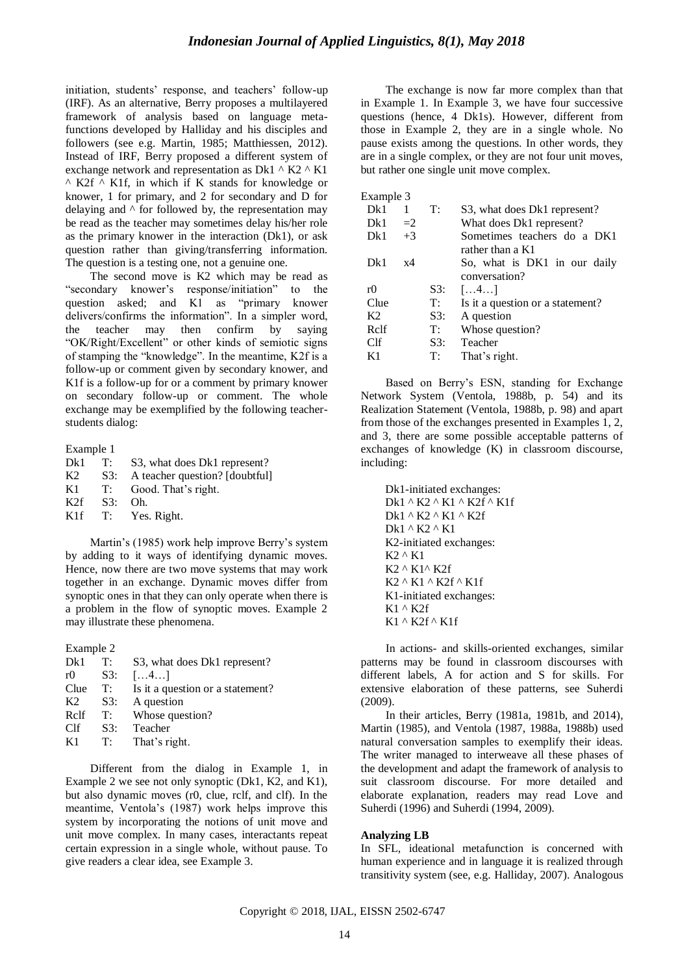initiation, students' response, and teachers' follow-up (IRF). As an alternative, Berry proposes a multilayered framework of analysis based on language metafunctions developed by Halliday and his disciples and followers (see e.g. Martin, 1985; Matthiessen, 2012). Instead of IRF, Berry proposed a different system of exchange network and representation as Dk1  $\wedge$  K2  $\wedge$  K1  $^{\wedge}$  K2f  $^{\wedge}$  K1f, in which if K stands for knowledge or knower, 1 for primary, and 2 for secondary and D for delaying and  $\wedge$  for followed by, the representation may be read as the teacher may sometimes delay his/her role as the primary knower in the interaction (Dk1), or ask question rather than giving/transferring information. The question is a testing one, not a genuine one.

The second move is K2 which may be read as "secondary knower's response/initiation" to the question asked; and K1 as "primary knower delivers/confirms the information". In a simpler word, the teacher may then confirm by saying "OK/Right/Excellent" or other kinds of semiotic signs of stamping the "knowledge". In the meantime, K2f is a follow-up or comment given by secondary knower, and K1f is a follow-up for or a comment by primary knower on secondary follow-up or comment. The whole exchange may be exemplified by the following teacherstudents dialog:

Example 1

| Dk1 |     | T: S3, what does Dk1 represent? |
|-----|-----|---------------------------------|
| K2  | S3: | A teacher question? [doubtful]  |
| K1  |     | T: Good. That's right.          |
| K2f | S3: | Oh.                             |
| K1f |     | T: Yes. Right.                  |
|     |     |                                 |

Martin's (1985) work help improve Berry's system by adding to it ways of identifying dynamic moves. Hence, now there are two move systems that may work together in an exchange. Dynamic moves differ from synoptic ones in that they can only operate when there is a problem in the flow of synoptic moves. Example 2 may illustrate these phenomena.

Example 2

| Dk1            | T:  | S3, what does Dk1 represent?     |
|----------------|-----|----------------------------------|
| r0             | S3: | $\left[\ldots4\ldots\right]$     |
| Clue           | T:  | Is it a question or a statement? |
| K <sub>2</sub> | S3: | A question                       |
| Relf           | T:  | Whose question?                  |
| Clf            | S3: | Teacher                          |
| K1             | T:  | That's right.                    |
|                |     |                                  |

Different from the dialog in Example 1, in Example 2 we see not only synoptic (Dk1, K2, and K1), but also dynamic moves (r0, clue, rclf, and clf). In the meantime, Ventola's (1987) work helps improve this system by incorporating the notions of unit move and unit move complex. In many cases, interactants repeat certain expression in a single whole, without pause. To give readers a clear idea, see Example 3.

The exchange is now far more complex than that in Example 1. In Example 3, we have four successive questions (hence, 4 Dk1s). However, different from those in Example 2, they are in a single whole. No pause exists among the questions. In other words, they are in a single complex, or they are not four unit moves, but rather one single unit move complex.

Example  $3$ <br>Dk1  $1$ 

| Dk1            |      | T:  | S3, what does Dk1 represent?     |
|----------------|------|-----|----------------------------------|
| Dk1            | $=2$ |     | What does Dk1 represent?         |
| Dk1            | $+3$ |     | Sometimes teachers do a DK1      |
|                |      |     | rather than a K1                 |
| Dk1            | x4   |     | So, what is DK1 in our daily     |
|                |      |     | conversation?                    |
| r()            |      | S3: | $\left[\ldots, 4 \ldots\right]$  |
| Clue           |      | T:  | Is it a question or a statement? |
| K <sub>2</sub> |      | S3: | A question                       |
| Relf           |      | T:  | Whose question?                  |
| Clf            |      | S3: | Teacher                          |
| K1             |      | T:  | That's right.                    |

Based on Berry's ESN, standing for Exchange Network System (Ventola, 1988b, p. 54) and its Realization Statement (Ventola, 1988b, p. 98) and apart from those of the exchanges presented in Examples 1, 2, and 3, there are some possible acceptable patterns of exchanges of knowledge (K) in classroom discourse, including:

Dk1-initiated exchanges: Dk1 ^ K2 ^ K1 ^ K2f ^ K1f Dk1 ^ K2 ^ K1 ^ K2f Dk1 ^ K2 ^ K1 K2-initiated exchanges: K2 ^ K1 K2 ^ K1^ K2f K2 ^ K1 ^ K2f ^ K1f K1-initiated exchanges: K1 ^ K2f K1 ^ K2f ^ K1f

In actions- and skills-oriented exchanges, similar patterns may be found in classroom discourses with different labels, A for action and S for skills. For extensive elaboration of these patterns, see Suherdi (2009).

In their articles, Berry (1981a, 1981b, and 2014), Martin (1985), and Ventola (1987, 1988a, 1988b) used natural conversation samples to exemplify their ideas. The writer managed to interweave all these phases of the development and adapt the framework of analysis to suit classroom discourse. For more detailed and elaborate explanation, readers may read Love and Suherdi (1996) and Suherdi (1994, 2009).

#### **Analyzing LB**

In SFL, ideational metafunction is concerned with human experience and in language it is realized through transitivity system (see, e.g. Halliday, 2007). Analogous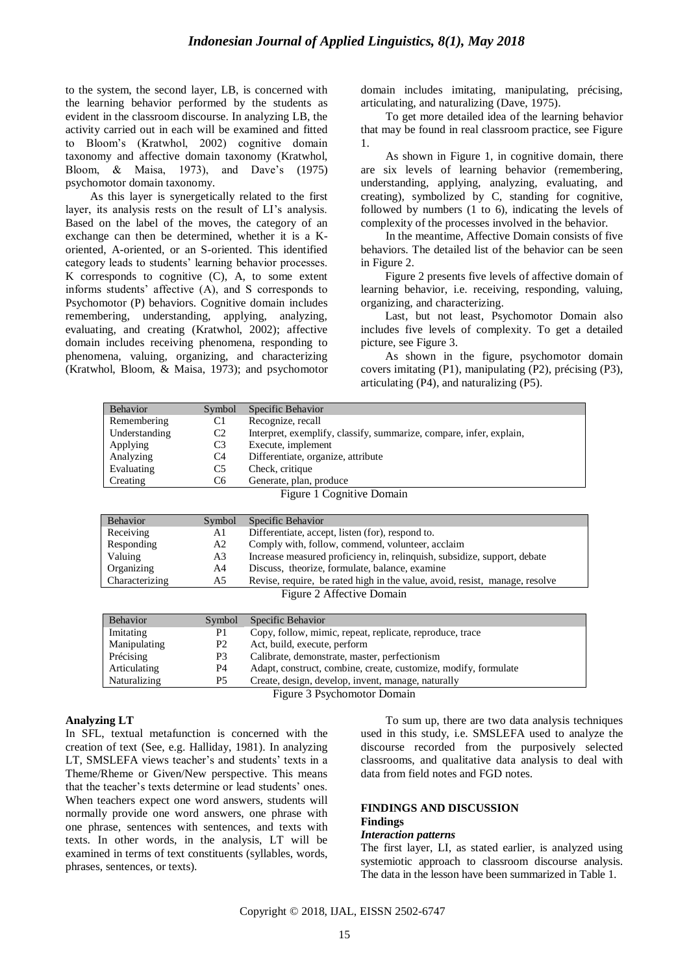to the system, the second layer, LB, is concerned with the learning behavior performed by the students as evident in the classroom discourse. In analyzing LB, the activity carried out in each will be examined and fitted to Bloom's (Kratwhol, 2002) cognitive domain taxonomy and affective domain taxonomy (Kratwhol, Bloom, & Maisa, 1973), and Dave's (1975) psychomotor domain taxonomy.

As this layer is synergetically related to the first layer, its analysis rests on the result of LI's analysis. Based on the label of the moves, the category of an exchange can then be determined, whether it is a Koriented, A-oriented, or an S-oriented. This identified category leads to students' learning behavior processes. K corresponds to cognitive (C), A, to some extent informs students' affective (A), and S corresponds to Psychomotor (P) behaviors. Cognitive domain includes remembering, understanding, applying, analyzing, evaluating, and creating (Kratwhol, 2002); affective domain includes receiving phenomena, responding to phenomena, valuing, organizing, and characterizing (Kratwhol, Bloom, & Maisa, 1973); and psychomotor domain includes imitating, manipulating, précising, articulating, and naturalizing (Dave, 1975).

To get more detailed idea of the learning behavior that may be found in real classroom practice, see Figure 1.

As shown in Figure 1, in cognitive domain, there are six levels of learning behavior (remembering, understanding, applying, analyzing, evaluating, and creating), symbolized by C, standing for cognitive, followed by numbers (1 to 6), indicating the levels of complexity of the processes involved in the behavior.

In the meantime, Affective Domain consists of five behaviors. The detailed list of the behavior can be seen in Figure 2.

Figure 2 presents five levels of affective domain of learning behavior, i.e. receiving, responding, valuing, organizing, and characterizing.

Last, but not least, Psychomotor Domain also includes five levels of complexity. To get a detailed picture, see Figure 3.

As shown in the figure, psychomotor domain covers imitating (P1), manipulating (P2), précising (P3), articulating (P4), and naturalizing (P5).

| <b>Behavior</b>             | Symbol         | Specific Behavior                                                           |  |  |
|-----------------------------|----------------|-----------------------------------------------------------------------------|--|--|
| Remembering                 | C1             | Recognize, recall                                                           |  |  |
| Understanding               | C <sub>2</sub> | Interpret, exemplify, classify, summarize, compare, infer, explain,         |  |  |
| Applying                    | C <sub>3</sub> | Execute, implement                                                          |  |  |
| Analyzing                   | C4             | Differentiate, organize, attribute                                          |  |  |
| Evaluating                  | C5             | Check, critique                                                             |  |  |
| Creating                    | C <sub>6</sub> | Generate, plan, produce                                                     |  |  |
|                             |                | Figure 1 Cognitive Domain                                                   |  |  |
|                             |                |                                                                             |  |  |
| <b>Behavior</b>             | Symbol         | Specific Behavior                                                           |  |  |
| Receiving                   | A1             | Differentiate, accept, listen (for), respond to.                            |  |  |
| Responding                  | A2             | Comply with, follow, commend, volunteer, acclaim                            |  |  |
| Valuing                     | A3             | Increase measured proficiency in, relinquish, subsidize, support, debate    |  |  |
| Organizing                  | A4             | Discuss, theorize, formulate, balance, examine                              |  |  |
| Characterizing              | A5             | Revise, require, be rated high in the value, avoid, resist, manage, resolve |  |  |
|                             |                | Figure 2 Affective Domain                                                   |  |  |
|                             |                |                                                                             |  |  |
| Behavior                    | Symbol         | Specific Behavior                                                           |  |  |
| Imitating                   | P <sub>1</sub> | Copy, follow, mimic, repeat, replicate, reproduce, trace                    |  |  |
| Manipulating                | P <sub>2</sub> | Act, build, execute, perform                                                |  |  |
| Précising                   | P <sub>3</sub> | Calibrate, demonstrate, master, perfectionism                               |  |  |
| Articulating                | P <sub>4</sub> | Adapt, construct, combine, create, customize, modify, formulate             |  |  |
| Naturalizing                | P <sub>5</sub> | Create, design, develop, invent, manage, naturally                          |  |  |
| Figure 3 Psychomotor Domain |                |                                                                             |  |  |

#### **Analyzing LT**

In SFL, textual metafunction is concerned with the creation of text (See, e.g. Halliday, 1981). In analyzing LT, SMSLEFA views teacher's and students' texts in a Theme/Rheme or Given/New perspective. This means that the teacher's texts determine or lead students' ones. When teachers expect one word answers, students will normally provide one word answers, one phrase with one phrase, sentences with sentences, and texts with texts. In other words, in the analysis, LT will be examined in terms of text constituents (syllables, words, phrases, sentences, or texts).

To sum up, there are two data analysis techniques used in this study, i.e. SMSLEFA used to analyze the discourse recorded from the purposively selected classrooms, and qualitative data analysis to deal with data from field notes and FGD notes.

#### **FINDINGS AND DISCUSSION Findings**

### *Interaction patterns*

The first layer, LI, as stated earlier, is analyzed using systemiotic approach to classroom discourse analysis. The data in the lesson have been summarized in Table 1.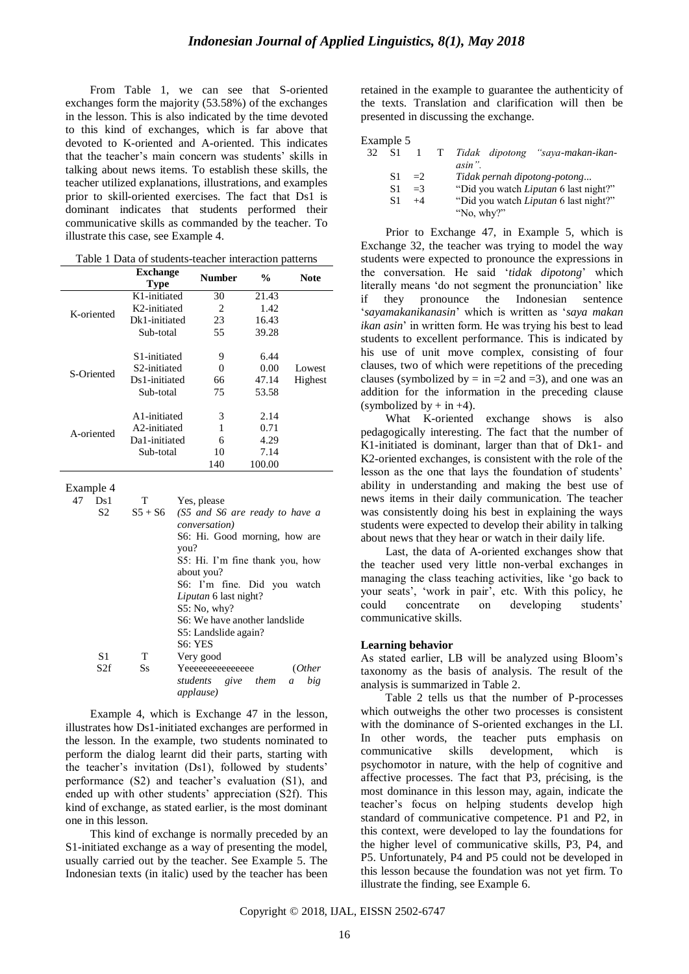From Table 1, we can see that S-oriented exchanges form the majority (53.58%) of the exchanges in the lesson. This is also indicated by the time devoted to this kind of exchanges, which is far above that devoted to K-oriented and A-oriented. This indicates that the teacher's main concern was students' skills in talking about news items. To establish these skills, the teacher utilized explanations, illustrations, and examples prior to skill-oriented exercises. The fact that Ds1 is dominant indicates that students performed their communicative skills as commanded by the teacher. To illustrate this case, see Example 4.

|            | <b>Exchange</b><br><b>Type</b> | <b>Number</b> | %      | <b>Note</b> |
|------------|--------------------------------|---------------|--------|-------------|
|            | K1-initiated                   | 30            | 21.43  |             |
| K-oriented | K2-initiated                   | 2             | 1.42   |             |
|            | Dk1-initiated                  | 23            | 16.43  |             |
|            | Sub-total                      | 55            | 39.28  |             |
|            | S <sub>1</sub> -initiated      | 9             | 6.44   |             |
| S-Oriented | S <sub>2</sub> -initiated      | 0             | 0.00   | Lowest      |
|            | Ds1-initiated                  | 66            | 47.14  | Highest     |
|            | Sub-total                      | 75            | 53.58  |             |
|            | A1-initiated                   | 3             | 2.14   |             |
| A-oriented | A2-initiated                   |               | 0.71   |             |
|            | Da1-initiated                  | 6             | 4.29   |             |
|            | Sub-total                      | 10            | 7.14   |             |
|            |                                | 140           | 100.00 |             |

| Table 1 Data of students-teacher interaction patterns |  |
|-------------------------------------------------------|--|
|-------------------------------------------------------|--|

Example 4

| 47 | Ds 1            | T       | Yes, please                                                      |
|----|-----------------|---------|------------------------------------------------------------------|
|    | S <sub>2</sub>  |         | $S5 + S6$ (S5 and S6 are ready to have a                         |
|    |                 |         | <i>conversation</i> )                                            |
|    |                 |         | S6: Hi. Good morning, how are                                    |
|    |                 |         | you?                                                             |
|    |                 |         | S5: Hi. I'm fine thank you, how                                  |
|    |                 |         | about you?                                                       |
|    |                 |         | S6: I'm fine. Did you watch                                      |
|    |                 |         | <i>Liputan</i> 6 last night?                                     |
|    |                 |         | $S5:$ No, why?                                                   |
|    |                 |         | S6: We have another landslide                                    |
|    |                 |         | S5: Landslide again?                                             |
|    |                 |         | S <sub>6</sub> : YES                                             |
|    | S1              | T       | Very good                                                        |
|    | S <sub>2f</sub> | $S_{S}$ | Yeeeeeeeeeeeee<br>(Other                                         |
|    |                 |         | students give them<br>big<br>$\mathfrak{a}$<br><i>applause</i> ) |

Example 4, which is Exchange 47 in the lesson, illustrates how Ds1-initiated exchanges are performed in the lesson. In the example, two students nominated to perform the dialog learnt did their parts, starting with the teacher's invitation (Ds1), followed by students' performance (S2) and teacher's evaluation (S1), and ended up with other students' appreciation (S2f). This kind of exchange, as stated earlier, is the most dominant one in this lesson.

This kind of exchange is normally preceded by an S1-initiated exchange as a way of presenting the model, usually carried out by the teacher. See Example 5. The Indonesian texts (in italic) used by the teacher has been retained in the example to guarantee the authenticity of the texts. Translation and clarification will then be presented in discussing the exchange.

| zxample |  |
|---------|--|
|---------|--|

| 32 | -S1 |            | $1$ T | Tidak dipotong "saya-makan-ikan-             |
|----|-----|------------|-------|----------------------------------------------|
|    |     |            |       | asin".                                       |
|    | S1  | $\equiv$ 2 |       | Tidak pernah dipotong-potong                 |
|    | S1  | $=$ 3      |       | "Did you watch <i>Liputan</i> 6 last night?" |
|    | S1  | $+4$       |       | "Did you watch Liputan 6 last night?"        |
|    |     |            |       | "No, why?"                                   |

Prior to Exchange 47, in Example 5, which is Exchange 32, the teacher was trying to model the way students were expected to pronounce the expressions in the conversation. He said ‗*tidak dipotong*' which literally means 'do not segment the pronunciation' like if they pronounce the Indonesian sentence ‗*sayamakanikanasin*' which is written as ‗*saya makan ikan asin*' in written form. He was trying his best to lead students to excellent performance. This is indicated by his use of unit move complex, consisting of four clauses, two of which were repetitions of the preceding clauses (symbolized by = in =2 and =3), and one was an addition for the information in the preceding clause (symbolized by  $+$  in  $+4$ ).

What K-oriented exchange shows is also pedagogically interesting. The fact that the number of K1-initiated is dominant, larger than that of Dk1- and K2-oriented exchanges, is consistent with the role of the lesson as the one that lays the foundation of students' ability in understanding and making the best use of news items in their daily communication. The teacher was consistently doing his best in explaining the ways students were expected to develop their ability in talking about news that they hear or watch in their daily life.

Last, the data of A-oriented exchanges show that the teacher used very little non-verbal exchanges in managing the class teaching activities, like 'go back to your seats', ‗work in pair', etc. With this policy, he could concentrate on developing students' communicative skills.

#### **Learning behavior**

As stated earlier, LB will be analyzed using Bloom's taxonomy as the basis of analysis. The result of the analysis is summarized in Table 2.

Table 2 tells us that the number of P-processes which outweighs the other two processes is consistent with the dominance of S-oriented exchanges in the LI. In other words, the teacher puts emphasis on communicative skills development, which is psychomotor in nature, with the help of cognitive and affective processes. The fact that P3, précising, is the most dominance in this lesson may, again, indicate the teacher's focus on helping students develop high standard of communicative competence. P1 and P2, in this context, were developed to lay the foundations for the higher level of communicative skills, P3, P4, and P5. Unfortunately, P4 and P5 could not be developed in this lesson because the foundation was not yet firm. To illustrate the finding, see Example 6.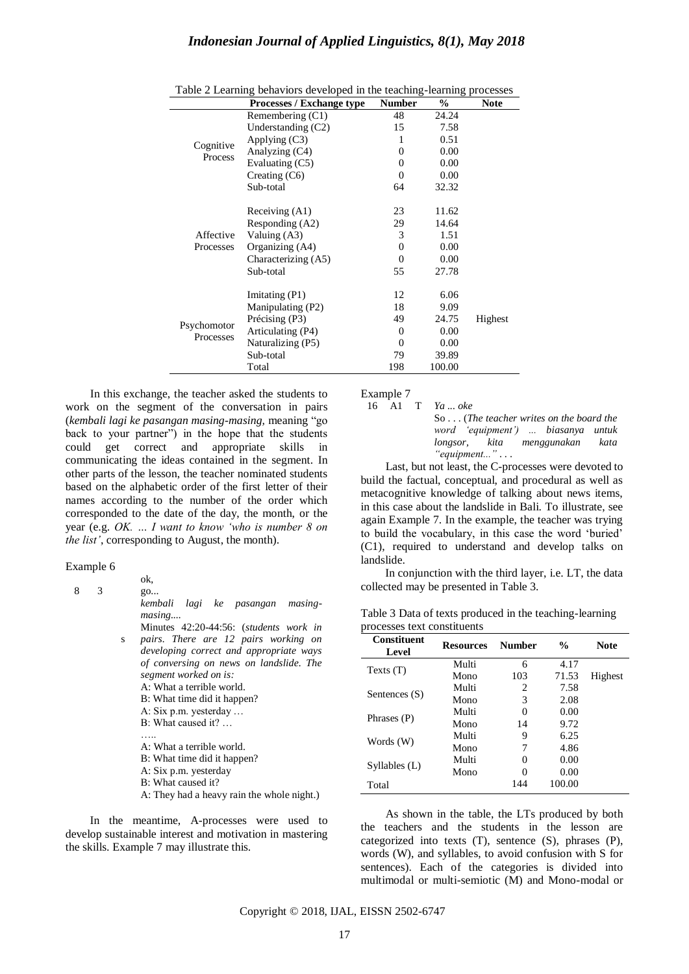|                          | Processes / Exchange type | Number       | $\frac{6}{9}$ | <b>Note</b> |
|--------------------------|---------------------------|--------------|---------------|-------------|
|                          | Remembering (C1)          | 48           | 24.24         |             |
|                          | Understanding (C2)        | 15           | 7.58          |             |
|                          | Applying $(C3)$           | 1            | 0.51          |             |
| Cognitive<br>Process     | Analyzing (C4)            | $\Omega$     | 0.00          |             |
|                          | Evaluating (C5)           | $\Omega$     | 0.00          |             |
|                          | Creating $(C6)$           | $\Omega$     | 0.00          |             |
|                          | Sub-total                 | 64           | 32.32         |             |
|                          |                           |              |               |             |
|                          | Receiving (A1)            | 23           | 11.62         |             |
|                          | Responding (A2)           | 29           | 14.64         |             |
| Affective                | Valuing (A3)              | 3            | 1.51          |             |
| Processes                | Organizing (A4)           | $\Omega$     | 0.00          |             |
|                          | Characterizing (A5)       | $\Omega$     | 0.00          |             |
|                          | Sub-total                 | 55           | 27.78         |             |
|                          |                           |              |               |             |
|                          | Imitating (P1)            | 12           | 6.06          |             |
| Psychomotor<br>Processes | Manipulating (P2)         | 18           | 9.09          |             |
|                          | Précising (P3)            | 49           | 24.75         | Highest     |
|                          | Articulating (P4)         | $\mathbf{0}$ | 0.00          |             |
|                          | Naturalizing (P5)         | $\Omega$     | 0.00          |             |
|                          | Sub-total                 | 79           | 39.89         |             |
|                          | Total                     | 198          | 100.00        |             |

| Table 2 Learning behaviors developed in the teaching-learning processes |  |  |  |
|-------------------------------------------------------------------------|--|--|--|
|                                                                         |  |  |  |

In this exchange, the teacher asked the students to work on the segment of the conversation in pairs (*kembali lagi ke pasangan masing-masing,* meaning ―go back to your partner") in the hope that the students could get correct and appropriate skills in communicating the ideas contained in the segment. In other parts of the lesson, the teacher nominated students based on the alphabetic order of the first letter of their names according to the number of the order which corresponded to the date of the day, the month, or the year (e.g. *OK. … I want to know "who is number 8 on the list"*, corresponding to August, the month).

#### Example 6

8

3

 $\alpha$ 

- go... *kembali lagi ke pasangan masingmasing....*
- S Minutes 42:20-44:56: (*students work in*  s *pairs. There are 12 pairs working on developing correct and appropriate ways of conversing on news on landslide. The segment worked on is:*
	- A: What a terrible world.
	- B: What time did it happen? A: Six p.m. yesterday …
	- B: What caused it? …
	- …..
	- A: What a terrible world.
	- B: What time did it happen?
	- A: Six p.m. yesterday
	- B: What caused it?
	- A: They had a heavy rain the whole night.)

In the meantime, A-processes were used to develop sustainable interest and motivation in mastering the skills. Example 7 may illustrate this.

Example 7

16 A1 T *Ya ... oke* 

So . . . (*The teacher writes on the board the word "equipment") ... biasanya untuk longsor, kita menggunakan kata "equipment..."* . . .

Last, but not least, the C-processes were devoted to build the factual, conceptual, and procedural as well as metacognitive knowledge of talking about news items, in this case about the landslide in Bali. To illustrate, see again Example 7. In the example, the teacher was trying to build the vocabulary, in this case the word 'buried' (C1), required to understand and develop talks on landslide.

In conjunction with the third layer, i.e. LT, the data collected may be presented in Table 3.

| Table 3 Data of texts produced in the teaching-learning |  |
|---------------------------------------------------------|--|
| processes text constituents                             |  |

| <b>Constituent</b><br>Level | <b>Resources</b> | <b>Number</b>     | $\frac{0}{0}$ | <b>Note</b> |
|-----------------------------|------------------|-------------------|---------------|-------------|
| Texts $(T)$                 | Multi            | 6                 | 4.17          |             |
|                             | Mono             | 103               | 71.53         | Highest     |
| Sentences (S)               | Multi            | 2                 | 7.58          |             |
|                             | Mono             | 3                 | 2.08          |             |
| Phrases (P)                 | Multi            | $\theta$          | 0.00          |             |
|                             | Mono             | 14                | 9.72          |             |
| Words $(W)$                 | Multi            | 9                 | 6.25          |             |
|                             | Mono             |                   | 4.86          |             |
| Syllables (L)               | Multi            | $\mathbf{\Omega}$ | 0.00          |             |
|                             | Mono             |                   | 0.00          |             |
| Total                       |                  | 144               | 100.00        |             |

As shown in the table, the LTs produced by both the teachers and the students in the lesson are categorized into texts (T), sentence (S), phrases (P), words (W), and syllables, to avoid confusion with S for sentences). Each of the categories is divided into multimodal or multi-semiotic (M) and Mono-modal or

Copyright © 2018, IJAL, EISSN [2502-6747](http://u.lipi.go.id/1435827202)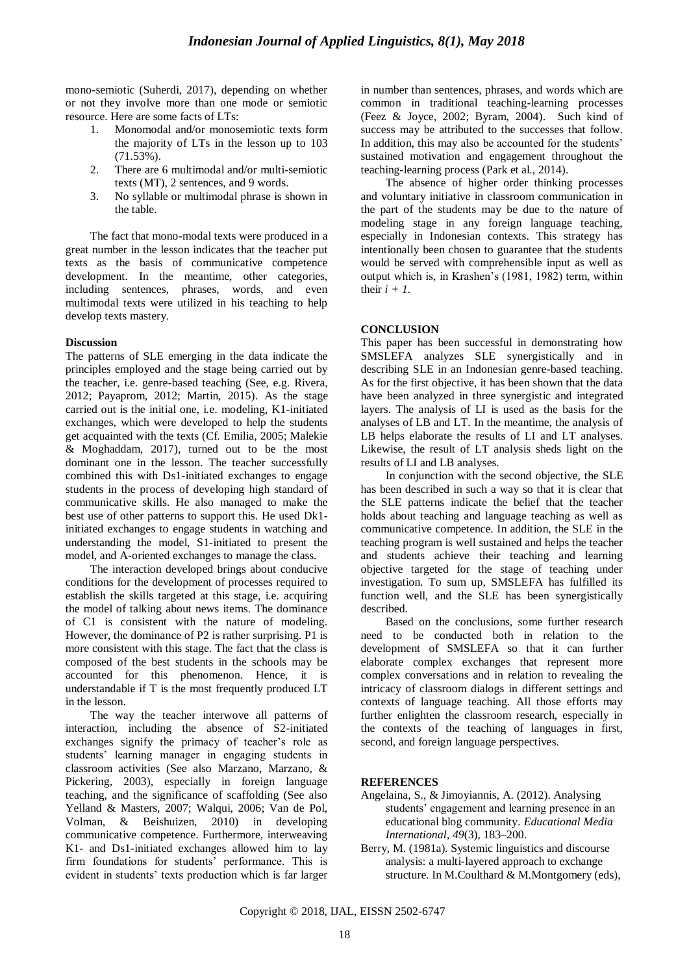mono-semiotic (Suherdi, 2017), depending on whether or not they involve more than one mode or semiotic resource. Here are some facts of LTs:

- 1. Monomodal and/or monosemiotic texts form the majority of LTs in the lesson up to 103 (71.53%).
- 2. There are 6 multimodal and/or multi-semiotic texts (MT), 2 sentences, and 9 words.
- 3. No syllable or multimodal phrase is shown in the table.

The fact that mono-modal texts were produced in a great number in the lesson indicates that the teacher put texts as the basis of communicative competence development. In the meantime, other categories, including sentences, phrases, words, and even multimodal texts were utilized in his teaching to help develop texts mastery.

## **Discussion**

The patterns of SLE emerging in the data indicate the principles employed and the stage being carried out by the teacher, i.e. genre-based teaching (See, e.g. Rivera, 2012; Payaprom, 2012; Martin, 2015). As the stage carried out is the initial one, i.e. modeling, K1-initiated exchanges, which were developed to help the students get acquainted with the texts (Cf. Emilia, 2005; Malekie & Moghaddam, 2017), turned out to be the most dominant one in the lesson. The teacher successfully combined this with Ds1-initiated exchanges to engage students in the process of developing high standard of communicative skills. He also managed to make the best use of other patterns to support this. He used Dk1 initiated exchanges to engage students in watching and understanding the model, S1-initiated to present the model, and A-oriented exchanges to manage the class.

The interaction developed brings about conducive conditions for the development of processes required to establish the skills targeted at this stage, i.e. acquiring the model of talking about news items. The dominance of C1 is consistent with the nature of modeling. However, the dominance of P2 is rather surprising. P1 is more consistent with this stage. The fact that the class is composed of the best students in the schools may be accounted for this phenomenon. Hence, it is understandable if T is the most frequently produced LT in the lesson.

The way the teacher interwove all patterns of interaction, including the absence of S2-initiated exchanges signify the primacy of teacher's role as students' learning manager in engaging students in classroom activities (See also Marzano, Marzano, & Pickering, 2003), especially in foreign language teaching, and the significance of scaffolding (See also Yelland & Masters, 2007; Walqui, 2006; Van de Pol, Volman, & Beishuizen, 2010) in developing communicative competence. Furthermore, interweaving K1- and Ds1-initiated exchanges allowed him to lay firm foundations for students' performance. This is evident in students' texts production which is far larger in number than sentences, phrases, and words which are common in traditional teaching-learning processes (Feez & Joyce, 2002; Byram, 2004). Such kind of success may be attributed to the successes that follow. In addition, this may also be accounted for the students' sustained motivation and engagement throughout the teaching-learning process (Park et al., 2014).

The absence of higher order thinking processes and voluntary initiative in classroom communication in the part of the students may be due to the nature of modeling stage in any foreign language teaching, especially in Indonesian contexts. This strategy has intentionally been chosen to guarantee that the students would be served with comprehensible input as well as output which is, in Krashen's (1981, 1982) term, within their  $i + 1$ .

# **CONCLUSION**

This paper has been successful in demonstrating how SMSLEFA analyzes SLE synergistically and in describing SLE in an Indonesian genre-based teaching. As for the first objective, it has been shown that the data have been analyzed in three synergistic and integrated layers. The analysis of LI is used as the basis for the analyses of LB and LT. In the meantime, the analysis of LB helps elaborate the results of LI and LT analyses. Likewise, the result of LT analysis sheds light on the results of LI and LB analyses.

In conjunction with the second objective, the SLE has been described in such a way so that it is clear that the SLE patterns indicate the belief that the teacher holds about teaching and language teaching as well as communicative competence. In addition, the SLE in the teaching program is well sustained and helps the teacher and students achieve their teaching and learning objective targeted for the stage of teaching under investigation. To sum up, SMSLEFA has fulfilled its function well, and the SLE has been synergistically described.

Based on the conclusions, some further research need to be conducted both in relation to the development of SMSLEFA so that it can further elaborate complex exchanges that represent more complex conversations and in relation to revealing the intricacy of classroom dialogs in different settings and contexts of language teaching. All those efforts may further enlighten the classroom research, especially in the contexts of the teaching of languages in first, second, and foreign language perspectives.

# **REFERENCES**

- Angelaina, S., & Jimoyiannis, A. (2012). Analysing students' engagement and learning presence in an educational blog community. *Educational Media International, 49*(3)*,* 183–200.
- Berry, M. (1981a). Systemic linguistics and discourse analysis: a multi-layered approach to exchange structure. In M.Coulthard & M.Montgomery (eds),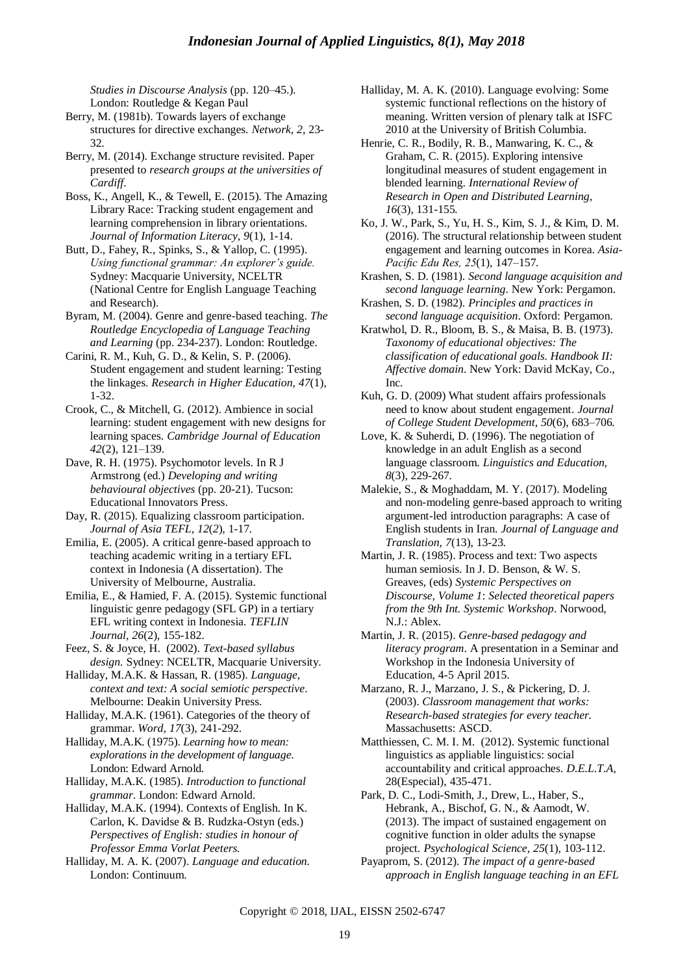*Studies in Discourse Analysis* (pp. 120–45.)*.*  London: Routledge & Kegan Paul

- Berry, M. (1981b). Towards layers of exchange structures for directive exchanges. *Network, 2,* 23- 32*.*
- Berry, M. (2014). Exchange structure revisited. Paper presented to *research groups at the universities of Cardiff.*
- Boss, K., Angell, K., & Tewell, E. (2015). The Amazing Library Race: Tracking student engagement and learning comprehension in library orientations. *Journal of Information Literacy, 9*(1), 1-14.
- Butt, D., Fahey, R., Spinks, S., & Yallop, C. (1995). *Using functional grammar: An explorer"s guide.*  Sydney: Macquarie University, NCELTR (National Centre for English Language Teaching and Research).
- Byram, M. (2004). Genre and genre-based teaching. *The Routledge Encyclopedia of Language Teaching and Learning* (pp. 234-237). London: Routledge.
- Carini, R. M., Kuh, G. D., & Kelin, S. P. (2006). Student engagement and student learning: Testing the linkages. *Research in Higher Education, 47*(1)*,*  1-32.
- Crook, C., & Mitchell, G. (2012). Ambience in social learning: student engagement with new designs for learning spaces. *Cambridge Journal of Education 42*(2)*,* 121–139*.*
- Dave, R. H. (1975). Psychomotor levels. In R J Armstrong (ed.) *Developing and writing behavioural objectives* (pp. 20-21). Tucson: Educational Innovators Press.
- Day, R. (2015). Equalizing classroom participation. *Journal of Asia TEFL, 12*(*2*)*,* 1-17*.*
- Emilia, E. (2005). A critical genre-based approach to teaching academic writing in a tertiary EFL context in Indonesia (A dissertation). The University of Melbourne, Australia.
- Emilia, E., & Hamied, F. A. (2015). Systemic functional linguistic genre pedagogy (SFL GP) in a tertiary EFL writing context in Indonesia. *TEFLIN Journal, 26*(2), 155-182.
- Feez, S. & Joyce, H. (2002). *Text-based syllabus design.* Sydney: NCELTR, Macquarie University.
- Halliday, M.A.K. & Hassan, R. (1985). *Language, context and text: A social semiotic perspective*. Melbourne: Deakin University Press.
- Halliday, M.A.K. (1961). Categories of the theory of grammar. *Word*, *17*(3), 241-292.
- Halliday, M.A.K. (1975). *Learning how to mean: explorations in the development of language*. London: Edward Arnold.
- Halliday, M.A.K. (1985). *Introduction to functional grammar*. London: Edward Arnold.
- Halliday, M.A.K. (1994). Contexts of English. In K. Carlon, K. Davidse & B. Rudzka-Ostyn (eds.) *Perspectives of English: studies in honour of Professor Emma Vorlat Peeters.*
- Halliday, M. A. K. (2007). *Language and education.*  London: Continuum.
- Halliday, M. A. K. (2010). Language evolving: Some systemic functional reflections on the history of meaning. Written version of plenary talk at ISFC 2010 at the University of British Columbia.
- Henrie, C. R., Bodily, R. B., Manwaring, K. C., & Graham, C. R. (2015). Exploring intensive longitudinal measures of student engagement in blended learning. *International Review of Research in Open and Distributed Learning, 16*(3), 131-155*.*
- Ko, J. W., Park, S., Yu, H. S., Kim, S. J., & Kim, D. M. (2016). The structural relationship between student engagement and learning outcomes in Korea. *Asia-Pacific Edu Res, 25*(1), 147–157*.*
- Krashen, S. D. (1981). *Second language acquisition and second language learning*. New York: Pergamon.
- Krashen, S. D. (1982). *Principles and practices in second language acquisition*. Oxford: Pergamon.
- Kratwhol, D. R., Bloom, B. S., & Maisa, B. B. (1973). *Taxonomy of educational objectives: The classification of educational goals. Handbook II: Affective domain*. New York: David McKay, Co., Inc.
- Kuh, G. D. (2009) What student affairs professionals need to know about student engagement. *Journal of College Student Development, 50*(6), 683–706*.*
- Love, K. & Suherdi, D. (1996). The negotiation of knowledge in an adult English as a second language classroom. *Linguistics and Education, 8*(3), 229-267*.*
- Malekie, S., & Moghaddam, M. Y. (2017). Modeling and non-modeling genre-based approach to writing argument-led introduction paragraphs: A case of English students in Iran. *Journal of Language and Translation, 7*(13), 13-23*.*
- Martin, J. R. (1985). Process and text: Two aspects human semiosis. In J. D. Benson, & W. S. Greaves, (eds) *Systemic Perspectives on Discourse, Volume 1*: *Selected theoretical papers from the 9th Int. Systemic Workshop*. Norwood, N.J.: Ablex.
- Martin, J. R. (2015). *Genre-based pedagogy and literacy program*. A presentation in a Seminar and Workshop in the Indonesia University of Education, 4-5 April 2015.
- Marzano, R. J., Marzano, J. S., & Pickering, D. J. (2003). *Classroom management that works: Research-based strategies for every teacher.* Massachusetts: ASCD.
- Matthiessen, C. M. I. M. (2012). Systemic functional linguistics as appliable linguistics: social accountability and critical approaches. *D.E.L.T.A,* 28(Especial), 435-471.
- Park, D. C., Lodi-Smith, J., Drew, L., Haber, S., Hebrank, A., Bischof, G. N., & Aamodt, W. (2013). The impact of sustained engagement on cognitive function in older adults the synapse project*. Psychological Science, 25*(1)*,* 103-112.
- Payaprom, S. (2012). *The impact of a genre-based approach in English language teaching in an EFL*